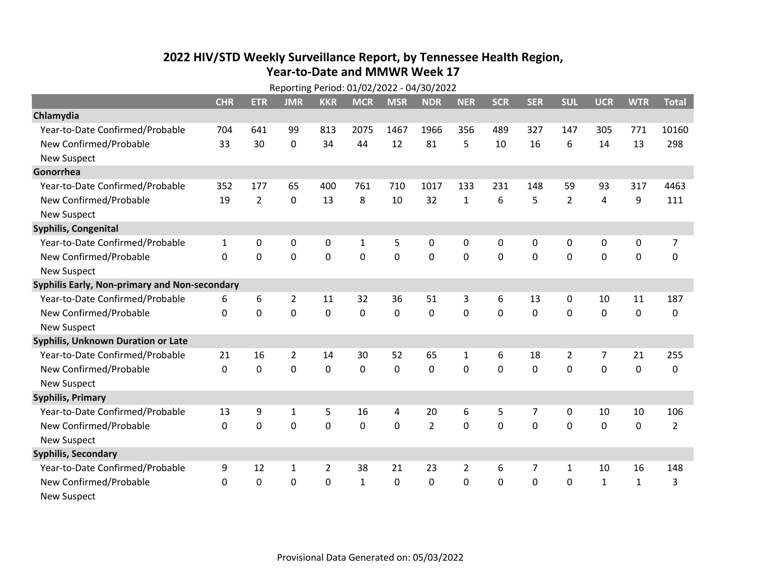## **2022 HIV /STD Weekl y Surveillance Report, b y Tennessee Health Region, Year‐to‐Date and MMWR Week 17**

| Reporting Period: 01/02/2022 - 04/30/2022     |              |                |                |                |              |              |                |                |              |                |                |                |              |                |
|-----------------------------------------------|--------------|----------------|----------------|----------------|--------------|--------------|----------------|----------------|--------------|----------------|----------------|----------------|--------------|----------------|
|                                               | <b>CHR</b>   | <b>ETR</b>     | <b>JMR</b>     | <b>KKR</b>     | <b>MCR</b>   | <b>MSR</b>   | <b>NDR</b>     | <b>NER</b>     | <b>SCR</b>   | <b>SER</b>     | <b>SUL</b>     | <b>UCR</b>     | <b>WTR</b>   | <b>Total</b>   |
| Chlamydia                                     |              |                |                |                |              |              |                |                |              |                |                |                |              |                |
| Year-to-Date Confirmed/Probable               | 704          | 641            | 99             | 813            | 2075         | 1467         | 1966           | 356            | 489          | 327            | 147            | 305            | 771          | 10160          |
| New Confirmed/Probable                        | 33           | 30             | 0              | 34             | 44           | 12           | 81             | 5              | 10           | 16             | 6              | 14             | 13           | 298            |
| <b>New Suspect</b>                            |              |                |                |                |              |              |                |                |              |                |                |                |              |                |
| Gonorrhea                                     |              |                |                |                |              |              |                |                |              |                |                |                |              |                |
| Year-to-Date Confirmed/Probable               | 352          | 177            | 65             | 400            | 761          | 710          | 1017           | 133            | 231          | 148            | 59             | 93             | 317          | 4463           |
| New Confirmed/Probable                        | 19           | $\overline{2}$ | $\mathbf{0}$   | 13             | 8            | 10           | 32             | $\mathbf{1}$   | 6            | 5              | $\overline{2}$ | 4              | 9            | 111            |
| <b>New Suspect</b>                            |              |                |                |                |              |              |                |                |              |                |                |                |              |                |
| Syphilis, Congenital                          |              |                |                |                |              |              |                |                |              |                |                |                |              |                |
| Year-to-Date Confirmed/Probable               | $\mathbf{1}$ | $\mathbf 0$    | $\mathbf 0$    | $\mathbf 0$    | $\mathbf{1}$ | 5            | 0              | 0              | $\mathbf{0}$ | 0              | $\mathbf 0$    | 0              | 0            | $\overline{7}$ |
| New Confirmed/Probable                        | $\Omega$     | $\Omega$       | 0              | $\mathbf 0$    | 0            | 0            | 0              | 0              | $\mathbf{0}$ | $\mathbf{0}$   | 0              | 0              | $\mathbf 0$  | 0              |
| <b>New Suspect</b>                            |              |                |                |                |              |              |                |                |              |                |                |                |              |                |
| Syphilis Early, Non-primary and Non-secondary |              |                |                |                |              |              |                |                |              |                |                |                |              |                |
| Year-to-Date Confirmed/Probable               | 6            | 6              | $\overline{2}$ | 11             | 32           | 36           | 51             | 3              | 6            | 13             | 0              | 10             | 11           | 187            |
| New Confirmed/Probable                        | 0            | $\mathbf 0$    | $\mathbf 0$    | 0              | 0            | 0            | 0              | 0              | 0            | 0              | 0              | 0              | $\mathbf 0$  | 0              |
| <b>New Suspect</b>                            |              |                |                |                |              |              |                |                |              |                |                |                |              |                |
| <b>Syphilis, Unknown Duration or Late</b>     |              |                |                |                |              |              |                |                |              |                |                |                |              |                |
| Year-to-Date Confirmed/Probable               | 21           | 16             | 2              | 14             | 30           | 52           | 65             | $\mathbf{1}$   | 6            | 18             | $\overline{2}$ | $\overline{7}$ | 21           | 255            |
| New Confirmed/Probable                        | 0            | $\mathbf 0$    | 0              | 0              | 0            | 0            | 0              | 0              | 0            | 0              | 0              | $\mathbf 0$    | $\mathbf 0$  | 0              |
| <b>New Suspect</b>                            |              |                |                |                |              |              |                |                |              |                |                |                |              |                |
| <b>Syphilis, Primary</b>                      |              |                |                |                |              |              |                |                |              |                |                |                |              |                |
| Year-to-Date Confirmed/Probable               | 13           | 9              | 1              | 5              | 16           | 4            | 20             | 6              | 5            | $\overline{7}$ | 0              | 10             | 10           | 106            |
| New Confirmed/Probable                        | $\Omega$     | 0              | $\mathbf 0$    | $\mathbf 0$    | 0            | 0            | $\overline{2}$ | 0              | 0            | 0              | 0              | 0              | 0            | $\overline{2}$ |
| <b>New Suspect</b>                            |              |                |                |                |              |              |                |                |              |                |                |                |              |                |
| <b>Syphilis, Secondary</b>                    |              |                |                |                |              |              |                |                |              |                |                |                |              |                |
| Year-to-Date Confirmed/Probable               | 9            | 12             | 1              | $\overline{2}$ | 38           | 21           | 23             | $\overline{2}$ | 6            | 7              | $\mathbf{1}$   | 10             | 16           | 148            |
| New Confirmed/Probable                        | $\Omega$     | 0              | 0              | $\Omega$       | $\mathbf{1}$ | $\mathbf{0}$ | 0              | $\mathbf{0}$   | 0            | 0              | 0              | $\mathbf{1}$   | $\mathbf{1}$ | 3              |
| <b>New Suspect</b>                            |              |                |                |                |              |              |                |                |              |                |                |                |              |                |